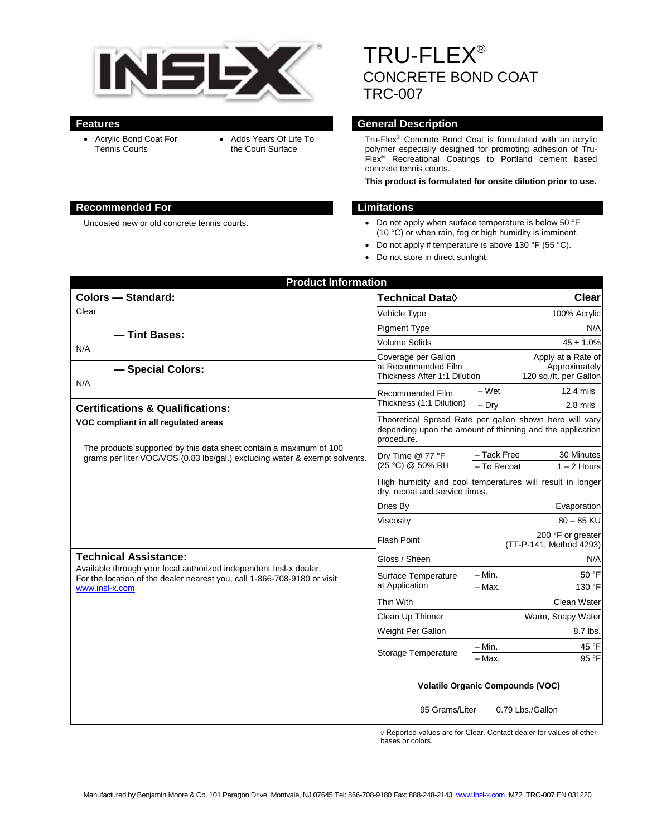

- Acrylic Bond Coat For Tennis Courts
- Adds Years Of Life To the Court Surface

#### **Recommended For Limitations**

TRU-FLEX® CONCRETE BOND COAT TRC-007

## **Features General Description**

Tru-Flex® Concrete Bond Coat is formulated with an acrylic polymer especially designed for promoting adhesion of Tru-Flex® Recreational Coatings to Portland cement based concrete tennis courts.

**This product is formulated for onsite dilution prior to use.**

- Uncoated new or old concrete tennis courts. <br> **Do not apply when surface temperature is below 50 °F** (10 °C) or when rain, fog or high humidity is imminent.
	- Do not apply if temperature is above 130 °F (55 °C).
	- Do not store in direct sunlight.

| <b>Product Information</b>                                                                                                                                                                       |                                                                                                                                    |                                                               |
|--------------------------------------------------------------------------------------------------------------------------------------------------------------------------------------------------|------------------------------------------------------------------------------------------------------------------------------------|---------------------------------------------------------------|
| <b>Colors - Standard:</b>                                                                                                                                                                        | Technical Data◊                                                                                                                    | Clear                                                         |
| Clear                                                                                                                                                                                            | Vehicle Type                                                                                                                       | 100% Acrylic                                                  |
| - Tint Bases:<br>N/A<br>- Special Colors:<br>N/A                                                                                                                                                 | <b>Pigment Type</b>                                                                                                                | N/A                                                           |
|                                                                                                                                                                                                  | <b>Volume Solids</b>                                                                                                               | $45 \pm 1.0\%$                                                |
|                                                                                                                                                                                                  | Coverage per Gallon<br>at Recommended Film<br>Thickness After 1:1 Dilution                                                         | Apply at a Rate of<br>Approximately<br>120 sq./ft. per Gallon |
|                                                                                                                                                                                                  | - Wet<br>Recommended Film                                                                                                          | 12.4 mils                                                     |
| <b>Certifications &amp; Qualifications:</b>                                                                                                                                                      | Thickness (1:1 Dilution)<br>$-$ Dry                                                                                                | 2.8 mils                                                      |
| VOC compliant in all regulated areas<br>The products supported by this data sheet contain a maximum of 100<br>grams per liter VOC/VOS (0.83 lbs/gal.) excluding water & exempt solvents.         | Theoretical Spread Rate per gallon shown here will vary<br>depending upon the amount of thinning and the application<br>procedure. |                                                               |
|                                                                                                                                                                                                  | - Tack Free<br>Dry Time @ 77 °F<br>(25 °C) @ 50% RH<br>- To Recoat                                                                 | 30 Minutes<br>$1 - 2$ Hours                                   |
|                                                                                                                                                                                                  | High humidity and cool temperatures will result in longer<br>dry, recoat and service times.                                        |                                                               |
|                                                                                                                                                                                                  | Dries By                                                                                                                           | Evaporation                                                   |
|                                                                                                                                                                                                  | Viscositv                                                                                                                          | $80 - 85$ KU                                                  |
|                                                                                                                                                                                                  | Flash Point                                                                                                                        | 200 °F or greater<br>(TT-P-141, Method 4293)                  |
| <b>Technical Assistance:</b><br>Available through your local authorized independent Insl-x dealer.<br>For the location of the dealer nearest you, call 1-866-708-9180 or visit<br>www.insl-x.com | Gloss / Sheen                                                                                                                      | N/A                                                           |
|                                                                                                                                                                                                  | $-$ Min.<br>Surface Temperature<br>at Application<br>$-$ Max.                                                                      | 50 °F<br>130 °F                                               |
|                                                                                                                                                                                                  | Thin With                                                                                                                          | Clean Water                                                   |
|                                                                                                                                                                                                  | Clean Up Thinner                                                                                                                   | Warm, Soapy Water                                             |
|                                                                                                                                                                                                  | Weight Per Gallon                                                                                                                  | 8.7 lbs.                                                      |
|                                                                                                                                                                                                  | $-$ Min.<br><b>Storage Temperature</b><br>- Max.                                                                                   | 45 °F<br>95 °F                                                |
|                                                                                                                                                                                                  | <b>Volatile Organic Compounds (VOC)</b>                                                                                            |                                                               |
|                                                                                                                                                                                                  | 95 Grams/Liter                                                                                                                     | 0.79 Lbs./Gallon                                              |

 ◊ Reported values are for Clear. Contact dealer for values of other bases or colors.